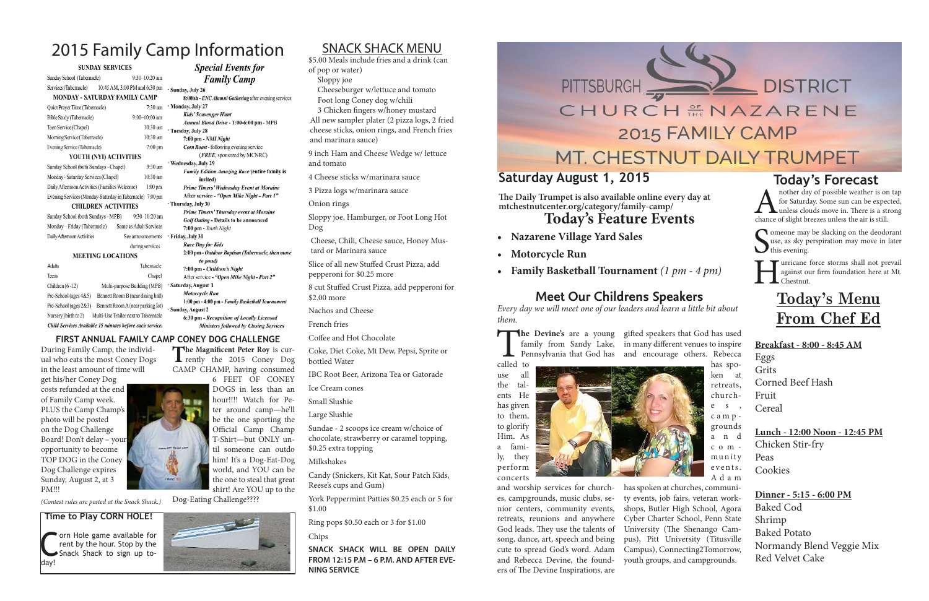$\sum_{\text{chance } i}$ nother day of possible weather is on tap for Saturday. Some sun can be expected, unless clouds move in. There is a strong chance of slight breezes unless the air is still.

S Omeone may be slacking on the deodorant use, as sky perspiration may move in later this evening.

H urricane force storms shall not prevail against our firm foundation here at Mt. Chestnut.

### **Today's Feature Events**

- **Nazarene Village Yard Sales**
- **Motorcycle Run**
- **Family Basketball Tournament** *(1 pm 4 pm)*

## Today's Menu From Chef Ed

**Breakfast - 8:00 - 8:45 AM** Eggs Grits Corned Beef Hash Fruit Cereal

**Lunch - 12:00 Noon - 12:45 PM** Chicken Stir-fry Peas Cookies

**Dinner - 5:15 - 6:00 PM** Baked Cod Shrimp Baked Potato Normandy Blend Veggie Mix Red Velvet Cake

**he Devine's** are a young gifted speakers that God has used family from Sandy Lake, in many different venues to inspire Pennsylvania that God has and encourage others. Rebecca called to family from Sandy Lake, in many different venues to inspire Pennsylvania that God has and encourage others. Rebecca

## **Meet Our Childrens Speakers**

*Every day we will meet one of our leaders and learn a little bit about them.*

called to

use all the talents He has given to them, to glorify Him. As a family, they perform concerts



and worship services for churches, campgrounds, music clubs, senior centers, community events, retreats, reunions and anywhere song, dance, art, speech and being and Rebecca Devine, the founders of The Devine Inspirations, are

God leads. They use the talents of University (The Shenango Camcute to spread God's word. Adam Campus), Connecting2Tomorrow, has spoken at churches, community events, job fairs, veteran workshops, Butler High School, Agora Cyber Charter School, Penn State pus), Pitt University (Titusville youth groups, and campgrounds.

has spoken at retreats, churche s , camp grounds a n d com munity e v e n t s. A d a m

### SNACK SHACK MENU

\$5.00 Meals include fries and a drink (can

The Magnificent Peter Roy is currently the 2015 Coney Dog CAMP CHAMP, having consumed 6 FEET OF CONEY DOGS in less than an hour!!!! Watch for Peter around camp—he'll be the one sporting the Official Camp Champ T-Shirt—but ONLY until someone can outdo him! It's a Dog-Eat-Dog

- of pop or water) Sloppy joe
- Cheeseburger w/lettuce and tomato
- Foot long Coney dog w/chili
- 3 Chicken fingers w/honey mustard

The same available for rent by the hour. Stop by the Snack Shack to sign up toorn Hole game available for rent by the hour. Stop by the day!



All new sampler plater (2 pizza logs, 2 fried cheese sticks, onion rings, and French fries and marinara sauce)

9 inch Ham and Cheese Wedge w/ lettuce and tomato

4 Cheese sticks w/marinara sauce

3 Pizza logs w/marinara sauce

Onion rings

Sloppy joe, Hamburger, or Foot Long Hot Dog

Cheese, Chili, Cheese sauce, Honey Mustard or Marinara sauce

Slice of all new Stuffed Crust Pizza, add pepperoni for \$0.25 more

8 cut Stuffed Crust Pizza, add pepperoni for \$2.00 more

Nachos and Cheese

French fries

Coffee and Hot Chocolate

Coke, Diet Coke, Mt Dew, Pepsi, Sprite or bottled Water

IBC Root Beer, Arizona Tea or Gatorade

Ice Cream cones

Small Slushie

Large Slushie

Sundae - 2 scoops ice cream w/choice of chocolate, strawberry or caramel topping, \$0.25 extra topping

Milkshakes

Candy (Snickers, Kit Kat, Sour Patch Kids, Reese's cups and Gum)

York Peppermint Patties \$0.25 each or 5 for \$1.00

Ring pops \$0.50 each or 3 for \$1.00

Chips

**SNACK SHACK WILL BE OPEN DAILY FROM 12:15 P.M – 6 P.M. AND AFTER EVE-NING SERVICE**



## 2015 Family Camp Information

### **SUNDAY SERVICES**

Sunday School (Tabernacle)  $9:30 - 10:20$  am Services (Tabernacle) 10:45 AM, 3:00 PM and 6:30 pm MONDAY - SATURDAY FAMILY CAMP Quiet Prayer Time (Tabernacle)  $7:30$  am Bible Study (Tabernacle) 9:00-10:00 am Teen Service (Chapel) 10:30 am Morning Service (Tabernacle) 10:30 am Evening Service (Tabernacle) 7:00 pm YOUTH (NYI) ACTIVITIES Sunday School (both Sundays - Chapel) 9:30 am Monday - Saturday Services (Chapel) 10:30 am Daily Afternoon Activities (Families Welcome)  $1:00$  pm Evening Services (Monday-Saturday in Tabernacle) 7:00 pm **CHILDREN ACTIVITIES** Sunday School (both Sundays - MPB) 9:30-10:20 am

Monday-Friday (Tabernacle) Same as Adult Services Daily Afternoon Activities See announcements during services

### **MEETING LOCATIONS**

Adults Tabernacle Teens Chapel Multi-purpose Building (MPB) Children $(6-12)$ Pre-School (ages 4&5) Bennett Room B (near dining hall) Pre-School (ages 2&3) Bennett Room A (near parking lot) Nursery (birth to 2) Multi-Use Trailer next to Tabernacle Child Services Available 15 minutes before each service.

**Family Camp** · Sunday, July 26 8:00ish - ENC Alumni Gathering after evening services Monday, July 27 **Kids' Scavenger Hunt** Annual Blood Drive - 1:00-6:00 pm - MPB Tuesday, July 28 7:00 pm - NMI Night Corn Roast - following evening service (FREE, sponsored by MCNRC) Wednesday, July 29 Family Edition Amazing Race (entire family is invited) Prime Timers' Wednesday Event at Moraine After service - "Open Mike Night - Part 1" · Thursday, July 30 Prime Timers' Thursday event at Moraine **Golf Outing - Details to be announced** 7:00 pm - Youth Night · Friday, July 31 **Race Day for Kids** 2:00 pm - Outdoor Baptism (Tabernacle, then move to pond) 7:00 pm - Children's Night After service - "Open Mike Night - Part 2" Saturday, August 1 Motorcycle Run 1:00 pm - 4:00 pm - Family Basketball Tournamen Sunday, August 2 6:30 pm - Recognition of Locally Licensed **Ministers followed by Closing Services** 

**Special Events for** 

**he Magnificent Peter Roy** is cur-

### **FIRST ANNUAL FAMILY CAMP CONEY DOG CHALLENGE**

During Family Camp, the individual who eats the most Coney Dogs in the least amount of time will

get his/her Coney Dog costs refunded at the end of Family Camp week. PLUS the Camp Champ's photo will be posted on the Dog Challenge Board! Don't delay – your opportunity to become TOP DOG in the Coney Dog Challenge expires Sunday, August 2, at 3 PM!!!

*(Contest rules are posted at the Snack Shack.)*

world, and YOU can be

the one to steal that great

shirt! Are YOU up to the Dog-Eating Challenge????

### **Time to Play CORN HOLE!**

## **Saturday August 1, 2015 Today's Forecast**

**The Daily Trumpet is also available online every day at mtchestnutcenter.org/category/family-camp/**